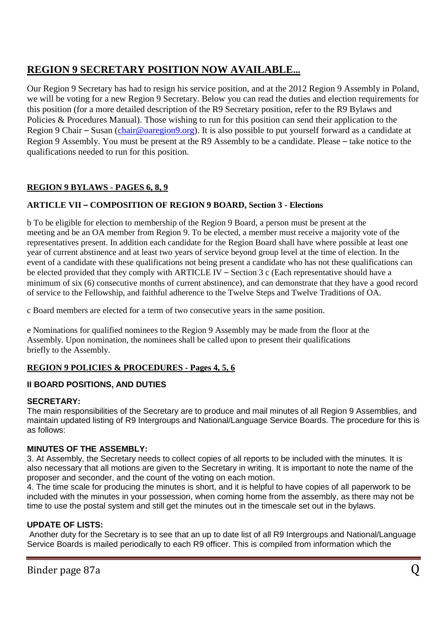# **REGION 9 SECRETARY POSITION NOW AVAILABLE…**

Our Region 9 Secretary has had to resign his service position, and at the 2012 Region 9 Assembly in Poland, we will be voting for a new Region 9 Secretary. Below you can read the duties and election requirements for this position (for a more detailed description of the R9 Secretary position, refer to the R9 Bylaws and Policies & Procedures Manual). Those wishing to run for this position can send their application to the Region 9 Chair – Susan [\(chair@oaregion9.org\)](mailto:chair@oaregion9.org). It is also possible to put yourself forward as a candidate at Region 9 Assembly. You must be present at the R9 Assembly to be a candidate. Please – take notice to the qualifications needed to run for this position.

## **REGION 9 BYLAWS - PAGES 6, 8, 9**

### **ARTICLE VII – COMPOSITION OF REGION 9 BOARD, Section 3 - Elections**

b To be eligible for election to membership of the Region 9 Board, a person must be present at the meeting and be an OA member from Region 9. To be elected, a member must receive a majority vote of the representatives present. In addition each candidate for the Region Board shall have where possible at least one year of current abstinence and at least two years of service beyond group level at the time of election. In the event of a candidate with these qualifications not being present a candidate who has not these qualifications can be elected provided that they comply with ARTICLE IV – Section 3 c (Each representative should have a minimum of six (6) consecutive months of current abstinence), and can demonstrate that they have a good record of service to the Fellowship, and faithful adherence to the Twelve Steps and Twelve Traditions of OA.

c Board members are elected for a term of two consecutive years in the same position.

e Nominations for qualified nominees to the Region 9 Assembly may be made from the floor at the Assembly. Upon nomination, the nominees shall be called upon to present their qualifications briefly to the Assembly.

#### **REGION 9 POLICIES & PROCEDURES - Pages 4, 5, 6**

#### **II BOARD POSITIONS, AND DUTIES**

#### **SECRETARY:**

The main responsibilities of the Secretary are to produce and mail minutes of all Region 9 Assemblies, and maintain updated listing of R9 Intergroups and National/Language Service Boards. The procedure for this is as follows:

#### **MINUTES OF THE ASSEMBLY:**

3. At Assembly, the Secretary needs to collect copies of all reports to be included with the minutes. It is also necessary that all motions are given to the Secretary in writing. It is important to note the name of the proposer and seconder, and the count of the voting on each motion.

4. The time scale for producing the minutes is short, and it is helpful to have copies of all paperwork to be included with the minutes in your possession, when coming home from the assembly, as there may not be time to use the postal system and still get the minutes out in the timescale set out in the bylaws.

#### **UPDATE OF LISTS:**

Another duty for the Secretary is to see that an up to date list of all R9 Intergroups and National/Language Service Boards is mailed periodically to each R9 officer. This is compiled from information which the